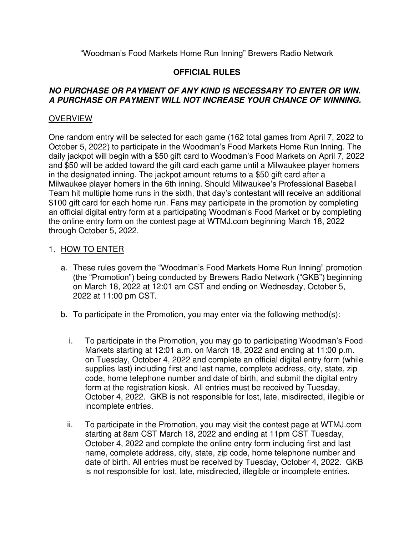"Woodman's Food Markets Home Run Inning" Brewers Radio Network

## **OFFICIAL RULES**

### **NO PURCHASE OR PAYMENT OF ANY KIND IS NECESSARY TO ENTER OR WIN. A PURCHASE OR PAYMENT WILL NOT INCREASE YOUR CHANCE OF WINNING.**

### **OVERVIEW**

One random entry will be selected for each game (162 total games from April 7, 2022 to October 5, 2022) to participate in the Woodman's Food Markets Home Run Inning. The daily jackpot will begin with a \$50 gift card to Woodman's Food Markets on April 7, 2022 and \$50 will be added toward the gift card each game until a Milwaukee player homers in the designated inning. The jackpot amount returns to a \$50 gift card after a Milwaukee player homers in the 6th inning. Should Milwaukee's Professional Baseball Team hit multiple home runs in the sixth, that day's contestant will receive an additional \$100 gift card for each home run. Fans may participate in the promotion by completing an official digital entry form at a participating Woodman's Food Market or by completing the online entry form on the contest page at WTMJ.com beginning March 18, 2022 through October 5, 2022.

#### 1. HOW TO ENTER

- a. These rules govern the "Woodman's Food Markets Home Run Inning" promotion (the "Promotion") being conducted by Brewers Radio Network ("GKB") beginning on March 18, 2022 at 12:01 am CST and ending on Wednesday, October 5, 2022 at 11:00 pm CST.
- b. To participate in the Promotion, you may enter via the following method(s):
	- i. To participate in the Promotion, you may go to participating Woodman's Food Markets starting at 12:01 a.m. on March 18, 2022 and ending at 11:00 p.m. on Tuesday, October 4, 2022 and complete an official digital entry form (while supplies last) including first and last name, complete address, city, state, zip code, home telephone number and date of birth, and submit the digital entry form at the registration kiosk. All entries must be received by Tuesday, October 4, 2022. GKB is not responsible for lost, late, misdirected, illegible or incomplete entries.
	- ii. To participate in the Promotion, you may visit the contest page at WTMJ.com starting at 8am CST March 18, 2022 and ending at 11pm CST Tuesday, October 4, 2022 and complete the online entry form including first and last name, complete address, city, state, zip code, home telephone number and date of birth. All entries must be received by Tuesday, October 4, 2022. GKB is not responsible for lost, late, misdirected, illegible or incomplete entries.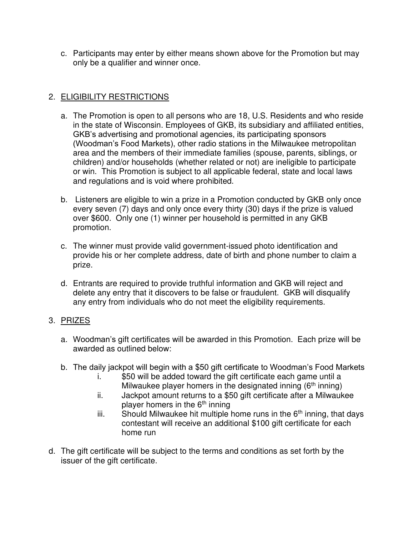c. Participants may enter by either means shown above for the Promotion but may only be a qualifier and winner once.

# 2. ELIGIBILITY RESTRICTIONS

- a. The Promotion is open to all persons who are 18, U.S. Residents and who reside in the state of Wisconsin. Employees of GKB, its subsidiary and affiliated entities, GKB's advertising and promotional agencies, its participating sponsors (Woodman's Food Markets), other radio stations in the Milwaukee metropolitan area and the members of their immediate families (spouse, parents, siblings, or children) and/or households (whether related or not) are ineligible to participate or win. This Promotion is subject to all applicable federal, state and local laws and regulations and is void where prohibited.
- b. Listeners are eligible to win a prize in a Promotion conducted by GKB only once every seven (7) days and only once every thirty (30) days if the prize is valued over \$600. Only one (1) winner per household is permitted in any GKB promotion.
- c. The winner must provide valid government-issued photo identification and provide his or her complete address, date of birth and phone number to claim a prize.
- d. Entrants are required to provide truthful information and GKB will reject and delete any entry that it discovers to be false or fraudulent. GKB will disqualify any entry from individuals who do not meet the eligibility requirements.

# 3. PRIZES

- a. Woodman's gift certificates will be awarded in this Promotion. Each prize will be awarded as outlined below:
- b. The daily jackpot will begin with a \$50 gift certificate to Woodman's Food Markets
	- i. \$50 will be added toward the gift certificate each game until a Milwaukee player homers in the designated inning  $(6<sup>th</sup> inning)$
	- ii. Jackpot amount returns to a \$50 gift certificate after a Milwaukee player homers in the  $6<sup>th</sup>$  inning
	- iii. Should Milwaukee hit multiple home runs in the  $6<sup>th</sup>$  inning, that days contestant will receive an additional \$100 gift certificate for each home run
- d. The gift certificate will be subject to the terms and conditions as set forth by the issuer of the gift certificate.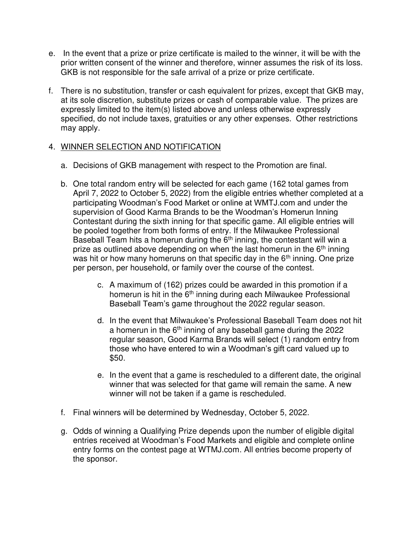- e. In the event that a prize or prize certificate is mailed to the winner, it will be with the prior written consent of the winner and therefore, winner assumes the risk of its loss. GKB is not responsible for the safe arrival of a prize or prize certificate.
- f. There is no substitution, transfer or cash equivalent for prizes, except that GKB may, at its sole discretion, substitute prizes or cash of comparable value. The prizes are expressly limited to the item(s) listed above and unless otherwise expressly specified, do not include taxes, gratuities or any other expenses. Other restrictions may apply.

## 4. WINNER SELECTION AND NOTIFICATION

- a. Decisions of GKB management with respect to the Promotion are final.
- b. One total random entry will be selected for each game (162 total games from April 7, 2022 to October 5, 2022) from the eligible entries whether completed at a participating Woodman's Food Market or online at WMTJ.com and under the supervision of Good Karma Brands to be the Woodman's Homerun Inning Contestant during the sixth inning for that specific game. All eligible entries will be pooled together from both forms of entry. If the Milwaukee Professional Baseball Team hits a homerun during the  $6<sup>th</sup>$  inning, the contestant will win a prize as outlined above depending on when the last homerun in the  $6<sup>th</sup>$  inning was hit or how many homeruns on that specific day in the  $6<sup>th</sup>$  inning. One prize per person, per household, or family over the course of the contest.
	- c. A maximum of (162) prizes could be awarded in this promotion if a homerun is hit in the  $6<sup>th</sup>$  inning during each Milwaukee Professional Baseball Team's game throughout the 2022 regular season.
	- d. In the event that Milwaukee's Professional Baseball Team does not hit a homerun in the  $6<sup>th</sup>$  inning of any baseball game during the 2022 regular season, Good Karma Brands will select (1) random entry from those who have entered to win a Woodman's gift card valued up to \$50.
	- e. In the event that a game is rescheduled to a different date, the original winner that was selected for that game will remain the same. A new winner will not be taken if a game is rescheduled.
- f. Final winners will be determined by Wednesday, October 5, 2022.
- g. Odds of winning a Qualifying Prize depends upon the number of eligible digital entries received at Woodman's Food Markets and eligible and complete online entry forms on the contest page at WTMJ.com. All entries become property of the sponsor.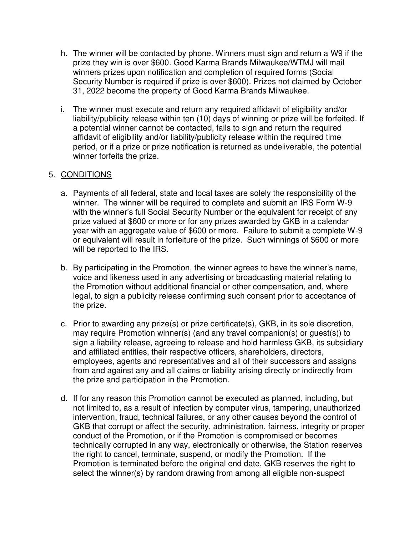- h. The winner will be contacted by phone. Winners must sign and return a W9 if the prize they win is over \$600. Good Karma Brands Milwaukee/WTMJ will mail winners prizes upon notification and completion of required forms (Social Security Number is required if prize is over \$600). Prizes not claimed by October 31, 2022 become the property of Good Karma Brands Milwaukee.
- i. The winner must execute and return any required affidavit of eligibility and/or liability/publicity release within ten (10) days of winning or prize will be forfeited. If a potential winner cannot be contacted, fails to sign and return the required affidavit of eligibility and/or liability/publicity release within the required time period, or if a prize or prize notification is returned as undeliverable, the potential winner forfeits the prize.

## 5. CONDITIONS

- a. Payments of all federal, state and local taxes are solely the responsibility of the winner. The winner will be required to complete and submit an IRS Form W-9 with the winner's full Social Security Number or the equivalent for receipt of any prize valued at \$600 or more or for any prizes awarded by GKB in a calendar year with an aggregate value of \$600 or more. Failure to submit a complete W-9 or equivalent will result in forfeiture of the prize. Such winnings of \$600 or more will be reported to the IRS.
- b. By participating in the Promotion, the winner agrees to have the winner's name, voice and likeness used in any advertising or broadcasting material relating to the Promotion without additional financial or other compensation, and, where legal, to sign a publicity release confirming such consent prior to acceptance of the prize.
- c. Prior to awarding any prize(s) or prize certificate(s), GKB, in its sole discretion, may require Promotion winner(s) (and any travel companion(s) or guest(s)) to sign a liability release, agreeing to release and hold harmless GKB, its subsidiary and affiliated entities, their respective officers, shareholders, directors, employees, agents and representatives and all of their successors and assigns from and against any and all claims or liability arising directly or indirectly from the prize and participation in the Promotion.
- d. If for any reason this Promotion cannot be executed as planned, including, but not limited to, as a result of infection by computer virus, tampering, unauthorized intervention, fraud, technical failures, or any other causes beyond the control of GKB that corrupt or affect the security, administration, fairness, integrity or proper conduct of the Promotion, or if the Promotion is compromised or becomes technically corrupted in any way, electronically or otherwise, the Station reserves the right to cancel, terminate, suspend, or modify the Promotion. If the Promotion is terminated before the original end date, GKB reserves the right to select the winner(s) by random drawing from among all eligible non-suspect